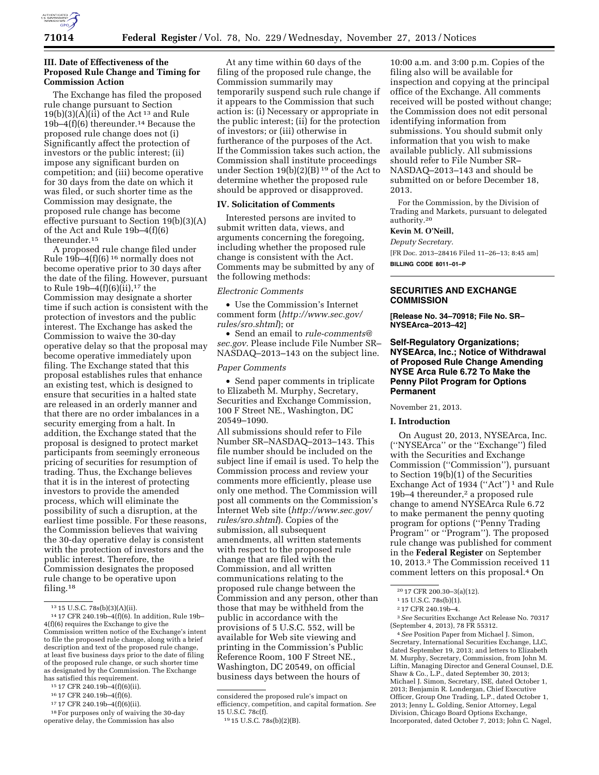

### **III. Date of Effectiveness of the Proposed Rule Change and Timing for Commission Action**

The Exchange has filed the proposed rule change pursuant to Section  $19(b)(3)(\overrightarrow{A})(i\overrightarrow{i})$  of the Act<sup>13</sup> and Rule 19b–4(f)(6) thereunder.14 Because the proposed rule change does not (i) Significantly affect the protection of investors or the public interest; (ii) impose any significant burden on competition; and (iii) become operative for 30 days from the date on which it was filed, or such shorter time as the Commission may designate, the proposed rule change has become effective pursuant to Section 19(b)(3)(A) of the Act and Rule 19b–4(f)(6) thereunder.15

A proposed rule change filed under Rule 19b–4 $(f)(6)^{16}$  normally does not become operative prior to 30 days after the date of the filing. However, pursuant to Rule 19b-4 $(f)(6)(ii)$ ,<sup>17</sup> the Commission may designate a shorter time if such action is consistent with the protection of investors and the public interest. The Exchange has asked the Commission to waive the 30-day operative delay so that the proposal may become operative immediately upon filing. The Exchange stated that this proposal establishes rules that enhance an existing test, which is designed to ensure that securities in a halted state are released in an orderly manner and that there are no order imbalances in a security emerging from a halt. In addition, the Exchange stated that the proposal is designed to protect market participants from seemingly erroneous pricing of securities for resumption of trading. Thus, the Exchange believes that it is in the interest of protecting investors to provide the amended process, which will eliminate the possibility of such a disruption, at the earliest time possible. For these reasons, the Commission believes that waiving the 30-day operative delay is consistent with the protection of investors and the public interest. Therefore, the Commission designates the proposed rule change to be operative upon filing.18

17 17 CFR 240.19b–4(f)(6)(ii).

At any time within 60 days of the filing of the proposed rule change, the Commission summarily may temporarily suspend such rule change if it appears to the Commission that such action is: (i) Necessary or appropriate in the public interest; (ii) for the protection of investors; or (iii) otherwise in furtherance of the purposes of the Act. If the Commission takes such action, the Commission shall institute proceedings under Section 19(b)(2)(B) 19 of the Act to determine whether the proposed rule should be approved or disapproved.

### **IV. Solicitation of Comments**

Interested persons are invited to submit written data, views, and arguments concerning the foregoing, including whether the proposed rule change is consistent with the Act. Comments may be submitted by any of the following methods:

*Electronic Comments* 

• Use the Commission's Internet comment form (*[http://www.sec.gov/](http://www.sec.gov/rules/sro.shtml) [rules/sro.shtml](http://www.sec.gov/rules/sro.shtml)*); or

• Send an email to *[rule-comments@](mailto:rule-comments@sec.gov) [sec.gov.](mailto:rule-comments@sec.gov)* Please include File Number SR– NASDAQ–2013–143 on the subject line.

#### *Paper Comments*

• Send paper comments in triplicate to Elizabeth M. Murphy, Secretary, Securities and Exchange Commission, 100 F Street NE., Washington, DC 20549–1090.

All submissions should refer to File Number SR–NASDAQ–2013–143. This file number should be included on the subject line if email is used. To help the Commission process and review your comments more efficiently, please use only one method. The Commission will post all comments on the Commission's Internet Web site (*[http://www.sec.gov/](http://www.sec.gov/rules/sro.shtml) [rules/sro.shtml](http://www.sec.gov/rules/sro.shtml)*). Copies of the submission, all subsequent amendments, all written statements with respect to the proposed rule change that are filed with the Commission, and all written communications relating to the proposed rule change between the Commission and any person, other than those that may be withheld from the public in accordance with the provisions of 5 U.S.C. 552, will be available for Web site viewing and printing in the Commission's Public Reference Room, 100 F Street NE., Washington, DC 20549, on official business days between the hours of

10:00 a.m. and 3:00 p.m. Copies of the filing also will be available for inspection and copying at the principal office of the Exchange. All comments received will be posted without change; the Commission does not edit personal identifying information from submissions. You should submit only information that you wish to make available publicly. All submissions should refer to File Number SR– NASDAQ–2013–143 and should be submitted on or before December 18, 2013.

For the Commission, by the Division of Trading and Markets, pursuant to delegated authority.20

# **Kevin M. O'Neill,**

*Deputy Secretary.* 

[FR Doc. 2013–28416 Filed 11–26–13; 8:45 am]

**BILLING CODE 8011–01–P** 

# **SECURITIES AND EXCHANGE COMMISSION**

**[Release No. 34–70918; File No. SR– NYSEArca–2013–42]** 

## **Self-Regulatory Organizations; NYSEArca, Inc.; Notice of Withdrawal of Proposed Rule Change Amending NYSE Arca Rule 6.72 To Make the Penny Pilot Program for Options Permanent**

November 21, 2013.

### **I. Introduction**

On August 20, 2013, NYSEArca, Inc. (''NYSEArca'' or the ''Exchange'') filed with the Securities and Exchange Commission (''Commission''), pursuant to Section 19(b)(1) of the Securities Exchange Act of 1934 ("Act")<sup>1</sup> and Rule 19b–4 thereunder,<sup>2</sup> a proposed rule change to amend NYSEArca Rule 6.72 to make permanent the penny quoting program for options (''Penny Trading Program'' or ''Program''). The proposed rule change was published for comment in the **Federal Register** on September 10, 2013.3 The Commission received 11 comment letters on this proposal.4 On

3*See* Securities Exchange Act Release No. 70317 (September 4, 2013), 78 FR 55312.

4*See* Position Paper from Michael J. Simon, Secretary, International Securities Exchange, LLC, dated September 19, 2013; and letters to Elizabeth M. Murphy, Secretary, Commission, from John M. Liftin, Managing Director and General Counsel, D.E. Shaw & Co., L.P., dated September 30, 2013; Michael J. Simon, Secretary, ISE, dated October 1, 2013; Benjamin R. Londergan, Chief Executive Officer, Group One Trading, L.P., dated October 1, 2013; Jenny L. Golding, Senior Attorney, Legal Division, Chicago Board Options Exchange, Incorporated, dated October 7, 2013; John C. Nagel,

 $^{13}$  15 U.S.C. 78s(b)(3)(A)(ii). In addition, Rule 19b– $^{14}$ 17 CFR 240.19b–4(f)(6). In addition, Rule 19b– 4(f)(6) requires the Exchange to give the Commission written notice of the Exchange's intent to file the proposed rule change, along with a brief description and text of the proposed rule change, at least five business days prior to the date of filing of the proposed rule change, or such shorter time as designated by the Commission. The Exchange has satisfied this requirement.

<sup>15</sup> 17 CFR 240.19b–4(f)(6)(ii).

<sup>16</sup> 17 CFR 240.19b–4(f)(6).

<sup>18</sup>For purposes only of waiving the 30-day operative delay, the Commission has also

considered the proposed rule's impact on efficiency, competition, and capital formation. *See*  15 U.S.C. 78c(f).

<sup>19</sup> 15 U.S.C. 78s(b)(2)(B).

<sup>20</sup> 17 CFR 200.30–3(a)(12).

<sup>1</sup> 15 U.S.C. 78s(b)(1).

<sup>2</sup> 17 CFR 240.19b–4.